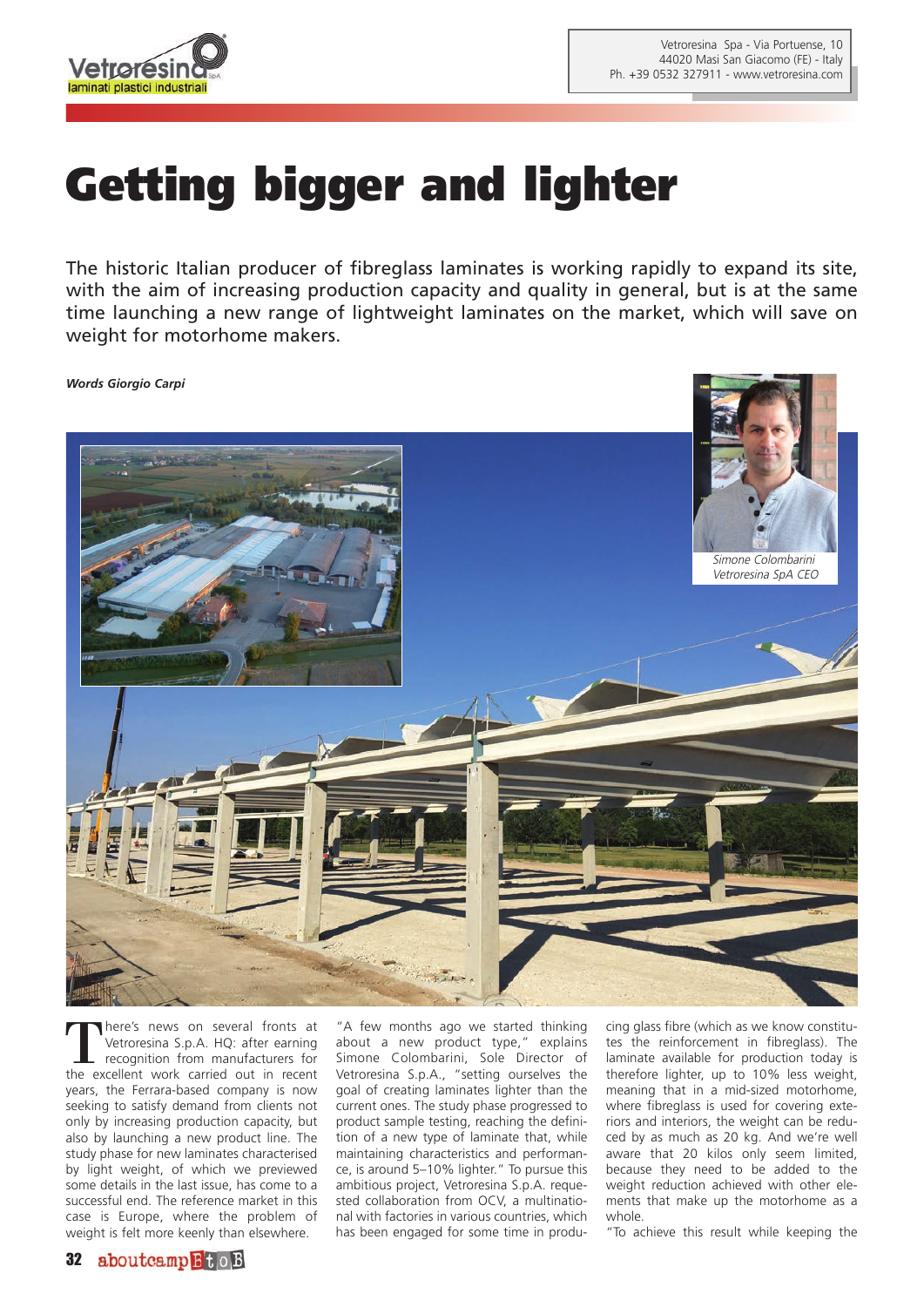

## **Getting bigger and lighter**

The historic Italian producer of fibreglass laminates is working rapidly to expand its site, with the aim of increasing production capacity and quality in general, but is at the same time launching a new range of lightweight laminates on the market, which will save on weight for motorhome makers.

*Words Giorgio Carpi*



There's news on several fronts at<br>
Vetroresina S.p.A. HQ: after earning<br>
recognition from manufacturers for Vetroresina S.p.A. HQ: after earning recognition from manufacturers for the excellent work carried out in recent years, the Ferrara-based company is now seeking to satisfy demand from clients not only by increasing production capacity, but also by launching a new product line. The study phase for new laminates characterised by light weight, of which we previewed some details in the last issue, has come to a successful end. The reference market in this case is Europe, where the problem of weight is felt more keenly than elsewhere.

"A few months ago we started thinking about a new product type," explains Simone Colombarini, Sole Director of Vetroresina S.p.A., "setting ourselves the goal of creating laminates lighter than the current ones. The study phase progressed to product sample testing, reaching the definition of a new type of laminate that, while maintaining characteristics and performance, is around 5–10% lighter." To pursue this ambitious project, Vetroresina S.p.A. requested collaboration from OCV, a multinational with factories in various countries, which has been engaged for some time in produ-

cing glass fibre (which as we know constitutes the reinforcement in fibreglass). The laminate available for production today is therefore lighter, up to 10% less weight, meaning that in a mid-sized motorhome, where fibreglass is used for covering exteriors and interiors, the weight can be reduced by as much as 20 kg. And we're well aware that 20 kilos only seem limited, because they need to be added to the weight reduction achieved with other elements that make up the motorhome as a whole.

"To achieve this result while keeping the